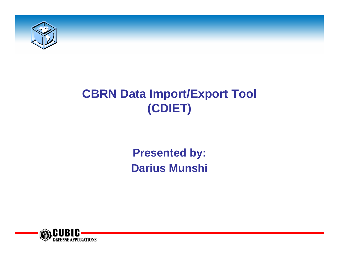

# **CBRN Data Import/Export Tool (CDIET)**

**Presented by: Darius Munshi**

 $\overline{1}$ 

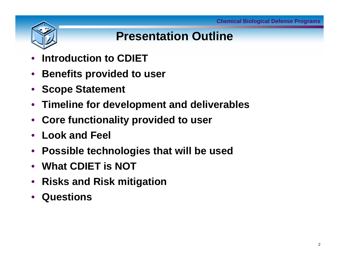

# **Presentation Outline**

- **Introduction to CDIET**
- **Benefits provided to user**
- **Scope Statement**
- **Timeline for development and deliverables**
- **Core functionality provided to user**
- **Look and Feel**
- **Possible technologies that will be used**
- **What CDIET is NOT**
- **Risks and Risk mitigation**
- **Questions**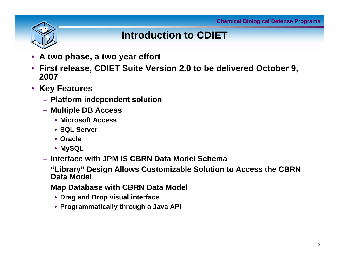

#### **Introduction to CDIET**

- **A two phase, a two year effort**
- **First release, CDIET Suite Version 2.0 to be delivered October 9, 2007**
- **Key Features**
	- **Platform independent solution**
	- **Multiple DB Access**
		- **Microsoft Access**
		- **SQL Server**
		- **Oracle**
		- **MySQL**
	- **Interface with JPM IS CBRN Data Model Schema**
	- **"Library" Design Allows Customizable Solution to Access the CBRN Data Model**
	- **Map Database with CBRN Data Model**
		- **Drag and Drop visual interface**
		- **Programmatically through a Java API**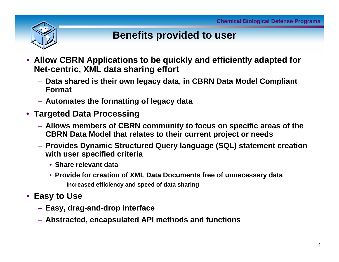

#### **Benefits provided to user**

- **Allow CBRN Applications to be quickly and efficiently adapted for Net-centric, XML data sharing effort**
	- **Data shared is their own legacy data, in CBRN Data Model Compliant Format**
	- **Automates the formatting of legacy data**
- **Targeted Data Processing**
	- **Allows members of CBRN community to focus on specific areas of the CBRN Data Model that relates to their current project or needs**
	- **Provides Dynamic Structured Query language (SQL) statement creation with user specified criteria**
		- **Share relevant data**
		- **Provide for creation of XML Data Documents free of unnecessary data**
			- **Increased efficiency and speed of data sharing**
- **Easy to Use**
	- **Easy, drag-and-drop interface**
	- **Abstracted, encapsulated API methods and functions**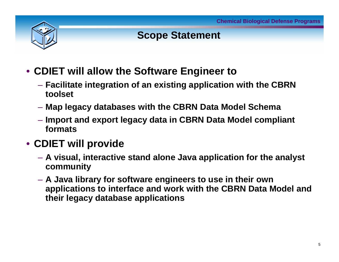

#### **Scope Statement**

- **CDIET will allow the Software Engineer to** 
	- **Facilitate integration of an existing application with the CBRN toolset**
	- **Map legacy databases with the CBRN Data Model Schema**
	- **Import and export legacy data in CBRN Data Model compliant formats**

#### • **CDIET will provide**

- **A visual, interactive stand alone Java application for the analyst community**
- **A Java library for software engineers to use in their own applications to interface and work with the CBRN Data Model and their legacy database applications**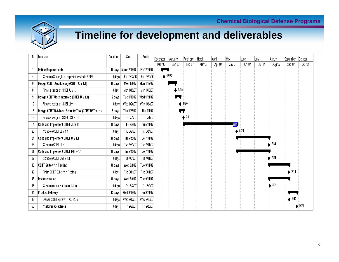

## **Timeline for development and deliverables**

| ID | Task Name                                             | Duration | Start                  | Finish       | December | Uanuarv                    | February | March   | April   | Mav     | June    | July    | August  | September        | October |
|----|-------------------------------------------------------|----------|------------------------|--------------|----------|----------------------------|----------|---------|---------|---------|---------|---------|---------|------------------|---------|
|    |                                                       |          |                        |              | Dec '06  | Jan '07                    | Feb '07  | Mar '07 | Apr '07 | May '07 | Jun '07 | Jul '07 | Aug '07 | Sep '07          | Oct '07 |
|    | Define Requirements                                   |          | 10 days   Mon 12/18/06 | Fri 12/29/06 |          |                            |          |         |         |         |         |         |         |                  |         |
| 4  | Complete Scope, time, expertise available & PMP       | 0 days   | Fri 12/22/06           | Fri 12/22/06 |          | $\triangle$ 12/22          |          |         |         |         |         |         |         |                  |         |
| 6. | Design CDIET Java Library (CDIET JL v 1.1)            | 10 days  | Mon 1/1/07             | Mon 1/15/07  |          |                            |          |         |         |         |         |         |         |                  |         |
| 8  | Finalise design of CDIET JL v 1.1                     | 0 days   | Mon 1/15/07            | Mon 1/15/07  |          | $\blacktriangleright$ 1/15 |          |         |         |         |         |         |         |                  |         |
| 9  | Design CDIET User Interface (CDIET UI v 1.1)          | 7 days   | Tue 1/16/07            | Wed 1/24/07  |          |                            |          |         |         |         |         |         |         |                  |         |
| 12 | Finalise design of CDIET UI v 1.1                     | 0 days   | Wed 1/24/07            | Wed 1/24/07  |          |                            | 1/24     |         |         |         |         |         |         |                  |         |
| 13 | Design CDIET Database Security Tool (CDIET DST v 1.1) | 5 days   | Thu 1/25/07            | Thu 2/1/07   |          |                            |          |         |         |         |         |         |         |                  |         |
| 16 | Finalise design of CDIET DST v 1.1                    | O days   | Thu 2/1/07             | Thu 2/1/07   |          |                            | $2\mu$   |         |         |         |         |         |         |                  |         |
| 17 | Code and implement CDIET JL v 1.1                     | 80 days  | Fri 2/2/07             | Thu 5/24/07  |          |                            |          |         |         |         |         |         |         |                  |         |
| 26 | Complete CDIET JL v 1.1                               | 0 days   | Thu 5/24/07            | Thu 5/24/07  |          |                            |          |         |         |         | 5/24    |         |         |                  |         |
| 27 | Code and Implement CDIET UI v 1.1                     | 48 days  | Fri 5/25/07            | Tue 7/31/07  |          |                            |          |         |         |         |         |         |         |                  |         |
| 33 | Complete CDIET UI v 1.1                               | 0 days   | Tue 7/31/07            | Tue 7/31/07  |          |                            |          |         |         |         |         |         | 7/3'    |                  |         |
| 34 | Code and implement CDIET DST v 1.1                    | 48 days  | Fri 5/25/07            | Tue 7/31/07  |          |                            |          |         |         |         |         |         |         |                  |         |
| 39 | Complete CDIET DST v 1.1                              | 0 days   | Tue 7/31/07            | Tue 7/31/07  |          |                            |          |         |         |         |         |         | 7/31    |                  |         |
| 40 | CDIET Suite v 1.1 Testing                             | 30 days  | Wed 8/1/07             | Tue 9/11/07  |          |                            |          |         |         |         |         |         |         |                  |         |
| 42 | Finish CDIET Suite v 1.1 Testing                      | 0 days   | Tue 9/11/07            | Tue 9/11/07  |          |                            |          |         |         |         |         |         |         | $\bullet$ 9/11   |         |
| 43 | Documentation                                         | 30 days  | Wed 8/1/07             | Tue 9/11/07  |          |                            |          |         |         |         |         |         |         |                  |         |
| 46 | Complete all user documentation                       | 0 days   | Thu 8/2/07             | Thu 8/2/07   |          |                            |          |         |         |         |         |         | 8/2     |                  |         |
| 47 | Product Delivery                                      | 13 days  | Wed 9/12/07            | Fri 9/28/07  |          |                            |          |         |         |         |         |         |         |                  |         |
| 48 | Deliver CDIET Suite v 1.1 CD-ROM                      | 0 days   | Wed 9/12/07            | Wed 9/12/07  |          |                            |          |         |         |         |         |         |         | $\triangle$ 9/12 |         |
| 50 | Customer acceptance                                   | O days   | Fri 9/28/07            | Fri 9/28/07  |          |                            |          |         |         |         |         |         |         |                  | 9/28    |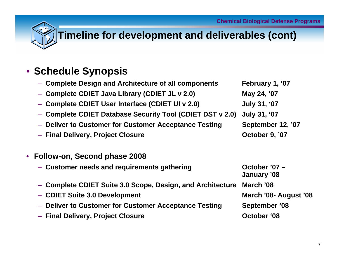

## **Timeline for development and deliverables (cont)**

#### • **Schedule Synopsis**

| - Complete Design and Architecture of all components       | February 1, '07              |
|------------------------------------------------------------|------------------------------|
| - Complete CDIET Java Library (CDIET JL v 2.0)             | May 24, '07                  |
| - Complete CDIET User Interface (CDIET UI v 2.0)           | <b>July 31, '07</b>          |
| - Complete CDIET Database Security Tool (CDIET DST v 2.0)  | <b>July 31, '07</b>          |
| - Deliver to Customer for Customer Acceptance Testing      | September 12, '07            |
| - Final Delivery, Project Closure                          | October 9, '07               |
|                                                            |                              |
| Follow-on, Second phase 2008                               |                              |
| - Customer needs and requirements gathering                | October '07 -<br>January '08 |
| - Complete CDIET Suite 3.0 Scope, Design, and Architecture | March '08                    |
| - CDIET Suite 3.0 Development                              | March '08- August '08        |
| - Deliver to Customer for Customer Acceptance Testing      | September '08                |
| - Final Delivery, Project Closure                          | October '08                  |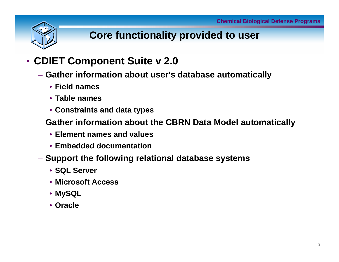

## **Core functionality provided to user**

#### • **CDIET Component Suite v 2.0**

- **Gather information about user's database automatically**
	- **Field names**
	- **Table names**
	- **Constraints and data types**
- **Gather information about the CBRN Data Model automatically**
	- **Element names and values**
	- **Embedded documentation**
- **Support the following relational database systems**
	- **SQL Server**
	- **Microsoft Access**
	- **MySQL**
	- **Oracle**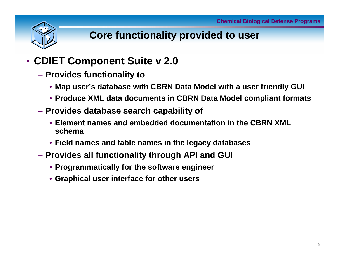

## **Core functionality provided to user**

#### • **CDIET Component Suite v 2.0**

- **Provides functionality to** 
	- **Map user's database with CBRN Data Model with a user friendly GUI**
	- **Produce XML data documents in CBRN Data Model compliant formats**
- **Provides database search capability of** 
	- **Element names and embedded documentation in the CBRN XML schema**
	- **Field names and table names in the legacy databases**
- **Provides all functionality through API and GUI**
	- **Programmatically for the software engineer**
	- **Graphical user interface for other users**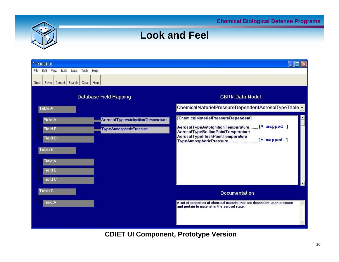**Chemical Biological Defense Programs**



| <sup>2</sup> CDIET UI                            |                                    |                                                                                                                            |  |  |  |  |  |  |
|--------------------------------------------------|------------------------------------|----------------------------------------------------------------------------------------------------------------------------|--|--|--|--|--|--|
| File Edit<br>Build<br>Tools Help<br>View<br>Data |                                    |                                                                                                                            |  |  |  |  |  |  |
| Cancel Search<br>Clear   Help<br>Open Save       |                                    |                                                                                                                            |  |  |  |  |  |  |
|                                                  | Database Field Mapping             | <b>CBRN Data Model</b>                                                                                                     |  |  |  |  |  |  |
| <b>Table A</b>                                   |                                    | ChemicalMaterielPressureDependentAerosolTypeTable -                                                                        |  |  |  |  |  |  |
| <b>Field A</b>                                   | AerosolTypeAutolgnitionTemperature | [ChemicalMaterielPressureDependent]                                                                                        |  |  |  |  |  |  |
| <b>Field B</b>                                   | <b>TypeAtmosphericPressure</b>     | AerosolTypeAutolgnitionTemperature [* mapped ]<br>AerosolTypeBoilingPointTemperature                                       |  |  |  |  |  |  |
| <b>Field C</b>                                   |                                    | AerosolTypeFlashPointTemperature<br>$[$ $\equiv$ mapped                                                                    |  |  |  |  |  |  |
| <b>Table B</b>                                   |                                    |                                                                                                                            |  |  |  |  |  |  |
| <b>Field A</b>                                   |                                    |                                                                                                                            |  |  |  |  |  |  |
| <b>Field B</b>                                   |                                    |                                                                                                                            |  |  |  |  |  |  |
| Field C                                          |                                    |                                                                                                                            |  |  |  |  |  |  |
| Table C                                          |                                    | <b>Documentation</b>                                                                                                       |  |  |  |  |  |  |
| <b>Field A</b>                                   |                                    | A set of properties of chemical materiel that are dependent upon pressure<br>and pertain to materiel in the aerosol state. |  |  |  |  |  |  |
|                                                  |                                    |                                                                                                                            |  |  |  |  |  |  |

**Look and Feel**

**CDIET UI Component, Prototype Version**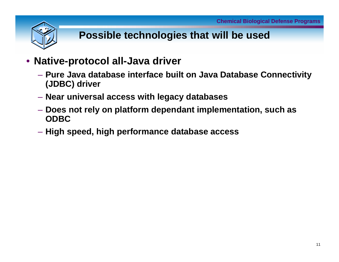

## **Possible technologies that will be used**

- **Native-protocol all-Java driver**
	- **Pure Java database interface built on Java Database Connectivity (JDBC) driver**
	- **Near universal access with legacy databases**
	- **Does not rely on platform dependant implementation, such as ODBC**
	- **High speed, high performance database access**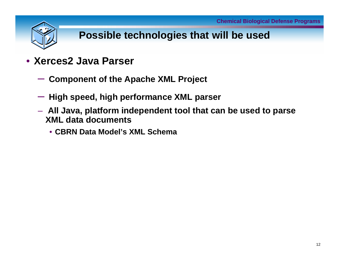#### **Possible technologies that will be used**

- **Xerces2 Java Parser**
	- **Component of the Apache XML Project**
	- $\mathcal{L}_{\mathcal{A}}$  , and the set of the set of the set of the set of the set of the set of the set of the set of the set of the set of the set of the set of the set of the set of the set of the set of the set of the set of th **High speed, high performance XML parser**
	- **All Java, platform independent tool that can be used to parse XML data documents**
		- **CBRN Data Model's XML Schema**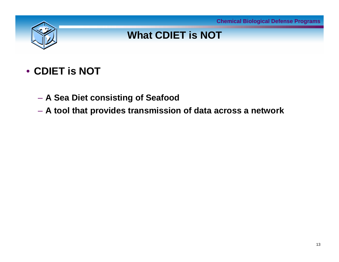

## **What CDIET is NOT**

## • **CDIET is NOT**

- **A Sea Diet consisting of Seafood**
- **A tool that provides transmission of data across a network**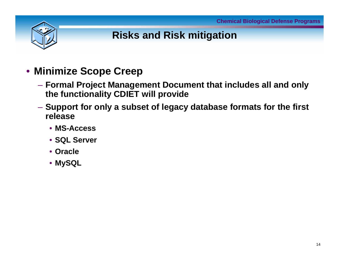

## **Risks and Risk mitigation**

- **Minimize Scope Creep**
	- **Formal Project Management Document that includes all and only the functionality CDIET will provide**
	- **Support for only a subset of legacy database formats for the first release** 
		- **MS-Access**
		- **SQL Server**
		- **Oracle**
		- **MySQL**